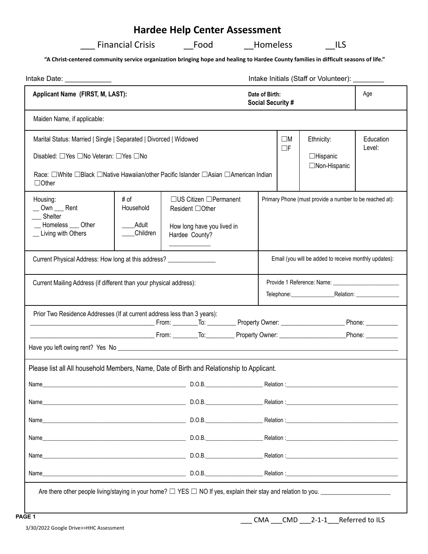# **Hardee Help Center Assessment**

| <b>Financial Crisis</b> | Food | <b>Homeless</b> | ILS |
|-------------------------|------|-----------------|-----|
|-------------------------|------|-----------------|-----|

**"A Christ-centered community service organization bringing hope and healing to Hardee County families in difficult seasons of life."**

| Intake Date: _____________                                                                                                                                                                                           |                                        |                                            |                                                                                                       |  |            |                         | Intake Initials (Staff or Volunteer): ________          |                     |
|----------------------------------------------------------------------------------------------------------------------------------------------------------------------------------------------------------------------|----------------------------------------|--------------------------------------------|-------------------------------------------------------------------------------------------------------|--|------------|-------------------------|---------------------------------------------------------|---------------------|
| Applicant Name (FIRST, M, LAST):                                                                                                                                                                                     |                                        | Date of Birth:<br><b>Social Security #</b> |                                                                                                       |  | Age        |                         |                                                         |                     |
| Maiden Name, if applicable:                                                                                                                                                                                          |                                        |                                            |                                                                                                       |  |            |                         |                                                         |                     |
| Marital Status: Married   Single   Separated   Divorced   Widowed<br>Disabled: □ Yes □ No Veteran: □ Yes □ No<br>Race: □White □Black □Native Hawaiian/other Pacific Islander □Asian □American Indian<br>$\Box$ Other |                                        |                                            |                                                                                                       |  |            | $\square M$<br>$\Box F$ | Ethnicity:<br>$\Box$ Hispanic<br>□Non-Hispanic          | Education<br>Level: |
| Housing:<br>_Own __ Rent<br>Shelter<br>__ Homeless ___ Other<br>_ Living with Others                                                                                                                                 | # of<br>Household<br>Adult<br>Children |                                            | $\Box$ US Citizen $\Box$ Permanent<br>Resident □Other<br>How long have you lived in<br>Hardee County? |  |            |                         | Primary Phone (must provide a number to be reached at): |                     |
| Current Physical Address: How long at this address? ____________________________                                                                                                                                     |                                        |                                            |                                                                                                       |  |            |                         | Email (you will be added to receive monthly updates):   |                     |
| Current Mailing Address (if different than your physical address):                                                                                                                                                   |                                        |                                            |                                                                                                       |  |            |                         | Telephone: Relation: Relation:                          |                     |
| Prior Two Residence Addresses (If at current address less than 3 years):<br><u>Discovering the Property Owner: Communication of Phone: Communication of the Phone: Communication of the Phone</u>                    |                                        |                                            |                                                                                                       |  |            |                         |                                                         |                     |
|                                                                                                                                                                                                                      |                                        |                                            |                                                                                                       |  |            |                         |                                                         |                     |
|                                                                                                                                                                                                                      |                                        |                                            |                                                                                                       |  |            |                         |                                                         |                     |
| Please list all All household Members, Name, Date of Birth and Relationship to Applicant.                                                                                                                            |                                        |                                            |                                                                                                       |  |            |                         |                                                         |                     |
| Name                                                                                                                                                                                                                 |                                        |                                            | D.O.B.                                                                                                |  | Relation : |                         |                                                         |                     |
|                                                                                                                                                                                                                      |                                        |                                            |                                                                                                       |  |            |                         |                                                         |                     |
| D.O.B.<br>Name                                                                                                                                                                                                       |                                        |                                            |                                                                                                       |  |            |                         |                                                         |                     |
|                                                                                                                                                                                                                      |                                        |                                            |                                                                                                       |  |            |                         |                                                         |                     |
|                                                                                                                                                                                                                      |                                        |                                            |                                                                                                       |  |            |                         |                                                         |                     |
| Name                                                                                                                                                                                                                 |                                        |                                            |                                                                                                       |  |            |                         |                                                         |                     |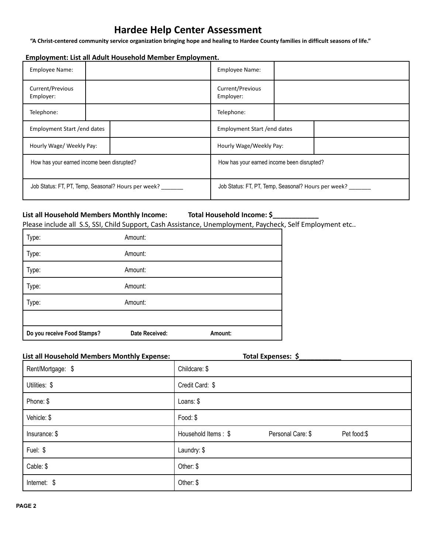# **Hardee Help Center Assessment**

**"A Christ-centered community service organization bringing hope and healing to Hardee County families in difficult seasons of life."**

## **Employment: List all Adult Household Member Employment.**

| Employee Name:                                      |  | Employee Name:                                            |  |  |
|-----------------------------------------------------|--|-----------------------------------------------------------|--|--|
| Current/Previous<br>Employer:                       |  | Current/Previous<br>Employer:                             |  |  |
| Telephone:                                          |  | Telephone:                                                |  |  |
| Employment Start / end dates                        |  | Employment Start / end dates                              |  |  |
| Hourly Wage/ Weekly Pay:                            |  | Hourly Wage/Weekly Pay:                                   |  |  |
| How has your earned income been disrupted?          |  | How has your earned income been disrupted?                |  |  |
| Job Status: FT, PT, Temp, Seasonal? Hours per week? |  | Job Status: FT, PT, Temp, Seasonal? Hours per week? _____ |  |  |

### **List all Household Members Monthly Income: Total Household Income: \$\_\_\_\_\_\_\_\_\_\_\_\_**

Please include all S.S, SSI, Child Support, Cash Assistance, Unemployment, Paycheck, Self Employment etc..

| Do you receive Food Stamps? | Date Received: | Amount: |  |
|-----------------------------|----------------|---------|--|
| Type:                       | Amount:        |         |  |
| Type:                       | Amount:        |         |  |
| Type:                       | Amount:        |         |  |
| Type:                       | Amount:        |         |  |
| Type:                       | Amount:        |         |  |

# **List all Household Members Monthly Expense: Total Expenses: \$**\_\_\_\_\_\_\_\_\_\_\_

| Rent/Mortgage: \$ | Childcare: \$                                           |
|-------------------|---------------------------------------------------------|
| Utilities: \$     | Credit Card: \$                                         |
| Phone: \$         | Loans: \$                                               |
| Vehicle: \$       | Food: \$                                                |
| Insurance: \$     | Pet food:\$<br>Household Items: \$<br>Personal Care: \$ |
| Fuel: \$          | Laundry: \$                                             |
| Cable: \$         | Other: \$                                               |
| Internet: \$      | Other: \$                                               |